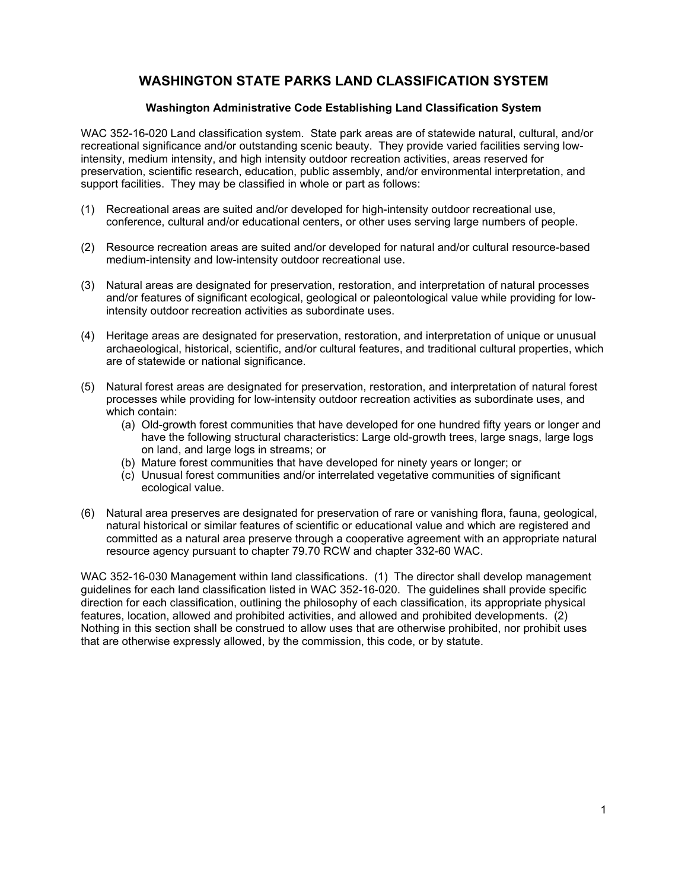## **WASHINGTON STATE PARKS LAND CLASSIFICATION SYSTEM**

#### **Washington Administrative Code Establishing Land Classification System**

WAC 352-16-020 Land classification system. State park areas are of statewide natural, cultural, and/or recreational significance and/or outstanding scenic beauty. They provide varied facilities serving lowintensity, medium intensity, and high intensity outdoor recreation activities, areas reserved for preservation, scientific research, education, public assembly, and/or environmental interpretation, and support facilities. They may be classified in whole or part as follows:

- (1) Recreational areas are suited and/or developed for high-intensity outdoor recreational use, conference, cultural and/or educational centers, or other uses serving large numbers of people.
- (2) Resource recreation areas are suited and/or developed for natural and/or cultural resource-based medium-intensity and low-intensity outdoor recreational use.
- (3) Natural areas are designated for preservation, restoration, and interpretation of natural processes and/or features of significant ecological, geological or paleontological value while providing for lowintensity outdoor recreation activities as subordinate uses.
- (4) Heritage areas are designated for preservation, restoration, and interpretation of unique or unusual archaeological, historical, scientific, and/or cultural features, and traditional cultural properties, which are of statewide or national significance.
- (5) Natural forest areas are designated for preservation, restoration, and interpretation of natural forest processes while providing for low-intensity outdoor recreation activities as subordinate uses, and which contain:
	- (a) Old-growth forest communities that have developed for one hundred fifty years or longer and have the following structural characteristics: Large old-growth trees, large snags, large logs on land, and large logs in streams; or
	- (b) Mature forest communities that have developed for ninety years or longer; or
	- (c) Unusual forest communities and/or interrelated vegetative communities of significant ecological value.
- (6) Natural area preserves are designated for preservation of rare or vanishing flora, fauna, geological, natural historical or similar features of scientific or educational value and which are registered and committed as a natural area preserve through a cooperative agreement with an appropriate natural resource agency pursuant to chapter 79.70 RCW and chapter 332-60 WAC.

WAC 352-16-030 Management within land classifications. (1) The director shall develop management guidelines for each land classification listed in WAC 352-16-020. The guidelines shall provide specific direction for each classification, outlining the philosophy of each classification, its appropriate physical features, location, allowed and prohibited activities, and allowed and prohibited developments. (2) Nothing in this section shall be construed to allow uses that are otherwise prohibited, nor prohibit uses that are otherwise expressly allowed, by the commission, this code, or by statute.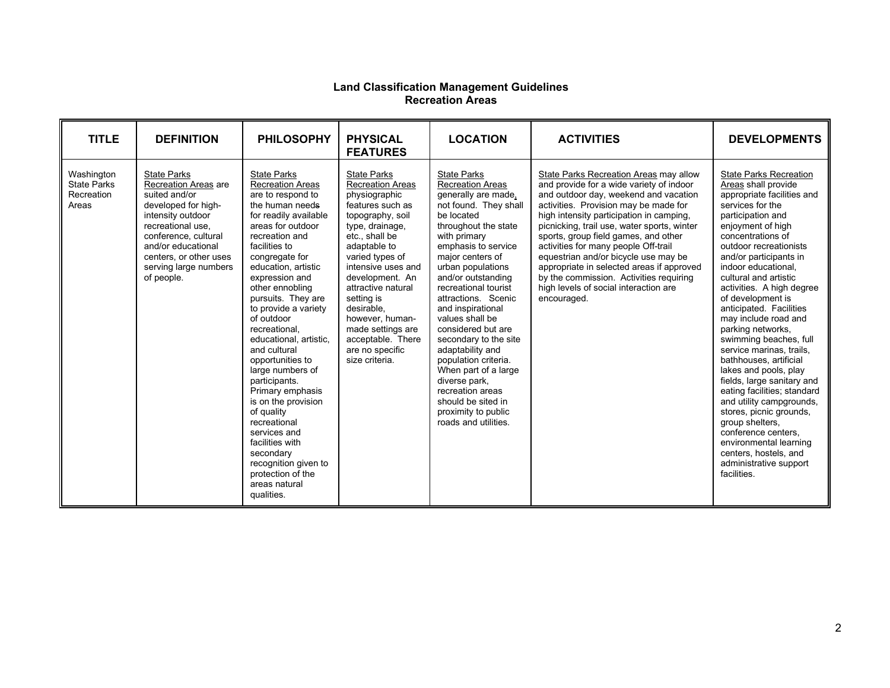#### **Land Classification Management Guidelines Recreation Areas**

| <b>TITLE</b>                                            | <b>DEFINITION</b>                                                                                                                                                                                                                                  | <b>PHILOSOPHY</b>                                                                                                                                                                                                                                                                                                                                                                                                                                                                                                                                                                                                                         | <b>PHYSICAL</b><br><b>FEATURES</b>                                                                                                                                                                                                                                                                                                                                          | <b>LOCATION</b>                                                                                                                                                                                                                                                                                                                                                                                                                                                                                                                                               | <b>ACTIVITIES</b>                                                                                                                                                                                                                                                                                                                                                                                                                                                                                                                       | <b>DEVELOPMENTS</b>                                                                                                                                                                                                                                                                                                                                                                                                                                                                                                                                                                                                                                                                                                                                                    |
|---------------------------------------------------------|----------------------------------------------------------------------------------------------------------------------------------------------------------------------------------------------------------------------------------------------------|-------------------------------------------------------------------------------------------------------------------------------------------------------------------------------------------------------------------------------------------------------------------------------------------------------------------------------------------------------------------------------------------------------------------------------------------------------------------------------------------------------------------------------------------------------------------------------------------------------------------------------------------|-----------------------------------------------------------------------------------------------------------------------------------------------------------------------------------------------------------------------------------------------------------------------------------------------------------------------------------------------------------------------------|---------------------------------------------------------------------------------------------------------------------------------------------------------------------------------------------------------------------------------------------------------------------------------------------------------------------------------------------------------------------------------------------------------------------------------------------------------------------------------------------------------------------------------------------------------------|-----------------------------------------------------------------------------------------------------------------------------------------------------------------------------------------------------------------------------------------------------------------------------------------------------------------------------------------------------------------------------------------------------------------------------------------------------------------------------------------------------------------------------------------|------------------------------------------------------------------------------------------------------------------------------------------------------------------------------------------------------------------------------------------------------------------------------------------------------------------------------------------------------------------------------------------------------------------------------------------------------------------------------------------------------------------------------------------------------------------------------------------------------------------------------------------------------------------------------------------------------------------------------------------------------------------------|
| Washington<br><b>State Parks</b><br>Recreation<br>Areas | <b>State Parks</b><br><b>Recreation Areas are</b><br>suited and/or<br>developed for high-<br>intensity outdoor<br>recreational use.<br>conference, cultural<br>and/or educational<br>centers, or other uses<br>serving large numbers<br>of people. | <b>State Parks</b><br><b>Recreation Areas</b><br>are to respond to<br>the human needs<br>for readily available<br>areas for outdoor<br>recreation and<br>facilities to<br>congregate for<br>education, artistic<br>expression and<br>other ennobling<br>pursuits. They are<br>to provide a variety<br>of outdoor<br>recreational.<br>educational, artistic,<br>and cultural<br>opportunities to<br>large numbers of<br>participants.<br>Primary emphasis<br>is on the provision<br>of quality<br>recreational<br>services and<br>facilities with<br>secondary<br>recognition given to<br>protection of the<br>areas natural<br>qualities. | <b>State Parks</b><br><b>Recreation Areas</b><br>physiographic<br>features such as<br>topography, soil<br>type, drainage,<br>etc., shall be<br>adaptable to<br>varied types of<br>intensive uses and<br>development. An<br>attractive natural<br>setting is<br>desirable.<br>however, human-<br>made settings are<br>acceptable. There<br>are no specific<br>size criteria. | <b>State Parks</b><br><b>Recreation Areas</b><br>generally are made,<br>not found. They shall<br>be located<br>throughout the state<br>with primary<br>emphasis to service<br>major centers of<br>urban populations<br>and/or outstanding<br>recreational tourist<br>attractions. Scenic<br>and inspirational<br>values shall be<br>considered but are<br>secondary to the site<br>adaptability and<br>population criteria.<br>When part of a large<br>diverse park,<br>recreation areas<br>should be sited in<br>proximity to public<br>roads and utilities. | State Parks Recreation Areas may allow<br>and provide for a wide variety of indoor<br>and outdoor day, weekend and vacation<br>activities. Provision may be made for<br>high intensity participation in camping.<br>picnicking, trail use, water sports, winter<br>sports, group field games, and other<br>activities for many people Off-trail<br>equestrian and/or bicycle use may be<br>appropriate in selected areas if approved<br>by the commission. Activities requiring<br>high levels of social interaction are<br>encouraged. | <b>State Parks Recreation</b><br>Areas shall provide<br>appropriate facilities and<br>services for the<br>participation and<br>enjoyment of high<br>concentrations of<br>outdoor recreationists<br>and/or participants in<br>indoor educational.<br>cultural and artistic<br>activities. A high degree<br>of development is<br>anticipated. Facilities<br>may include road and<br>parking networks,<br>swimming beaches, full<br>service marinas, trails,<br>bathhouses, artificial<br>lakes and pools, play<br>fields, large sanitary and<br>eating facilities; standard<br>and utility campgrounds,<br>stores, picnic grounds,<br>group shelters,<br>conference centers,<br>environmental learning<br>centers, hostels, and<br>administrative support<br>facilities. |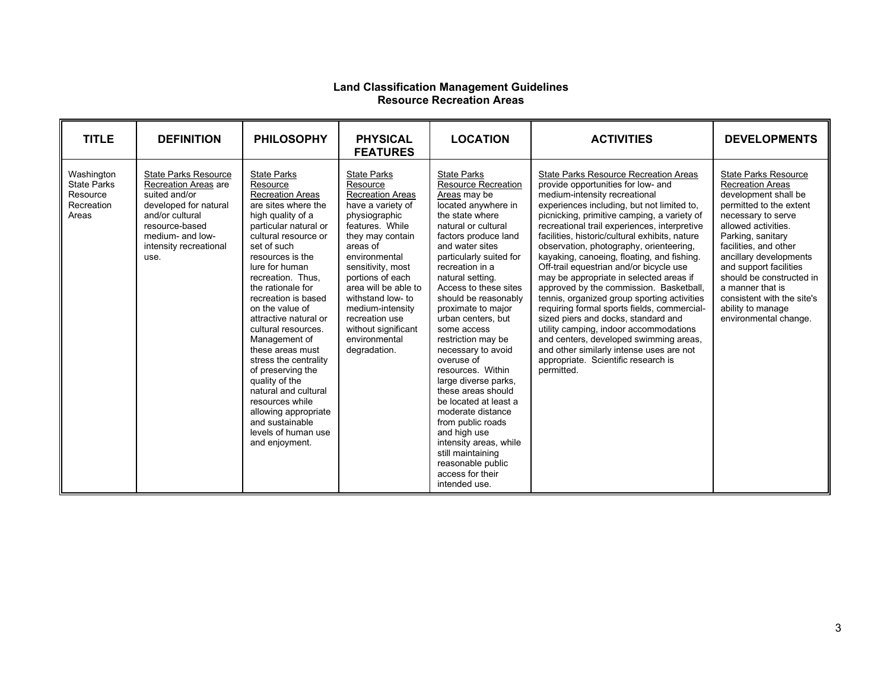#### **Land Classification Management Guidelines Resource Recreation Areas**

| <b>TITLE</b>                                                        | <b>DEFINITION</b>                                                                                                                                                                        | <b>PHILOSOPHY</b>                                                                                                                                                                                                                                                                                                                                                                                                                                                                                                                                                                   | <b>PHYSICAL</b><br><b>FEATURES</b>                                                                                                                                                                                                                                                                                                               | <b>LOCATION</b>                                                                                                                                                                                                                                                                                                                                                                                                                                                                                                                                                                                                                                                                     | <b>ACTIVITIES</b>                                                                                                                                                                                                                                                                                                                                                                                                                                                                                                                                                                                                                                                                                                                                                                                                                                                      | <b>DEVELOPMENTS</b>                                                                                                                                                                                                                                                                                                                                                                  |
|---------------------------------------------------------------------|------------------------------------------------------------------------------------------------------------------------------------------------------------------------------------------|-------------------------------------------------------------------------------------------------------------------------------------------------------------------------------------------------------------------------------------------------------------------------------------------------------------------------------------------------------------------------------------------------------------------------------------------------------------------------------------------------------------------------------------------------------------------------------------|--------------------------------------------------------------------------------------------------------------------------------------------------------------------------------------------------------------------------------------------------------------------------------------------------------------------------------------------------|-------------------------------------------------------------------------------------------------------------------------------------------------------------------------------------------------------------------------------------------------------------------------------------------------------------------------------------------------------------------------------------------------------------------------------------------------------------------------------------------------------------------------------------------------------------------------------------------------------------------------------------------------------------------------------------|------------------------------------------------------------------------------------------------------------------------------------------------------------------------------------------------------------------------------------------------------------------------------------------------------------------------------------------------------------------------------------------------------------------------------------------------------------------------------------------------------------------------------------------------------------------------------------------------------------------------------------------------------------------------------------------------------------------------------------------------------------------------------------------------------------------------------------------------------------------------|--------------------------------------------------------------------------------------------------------------------------------------------------------------------------------------------------------------------------------------------------------------------------------------------------------------------------------------------------------------------------------------|
| Washington<br><b>State Parks</b><br>Resource<br>Recreation<br>Areas | <b>State Parks Resource</b><br>Recreation Areas are<br>suited and/or<br>developed for natural<br>and/or cultural<br>resource-based<br>medium- and low-<br>intensity recreational<br>use. | <b>State Parks</b><br>Resource<br><b>Recreation Areas</b><br>are sites where the<br>high quality of a<br>particular natural or<br>cultural resource or<br>set of such<br>resources is the<br>lure for human<br>recreation. Thus.<br>the rationale for<br>recreation is based<br>on the value of<br>attractive natural or<br>cultural resources.<br>Management of<br>these areas must<br>stress the centrality<br>of preserving the<br>quality of the<br>natural and cultural<br>resources while<br>allowing appropriate<br>and sustainable<br>levels of human use<br>and enjoyment. | <b>State Parks</b><br>Resource<br>Recreation Areas<br>have a variety of<br>physiographic<br>features. While<br>they may contain<br>areas of<br>environmental<br>sensitivity, most<br>portions of each<br>area will be able to<br>withstand low- to<br>medium-intensity<br>recreation use<br>without significant<br>environmental<br>degradation. | <b>State Parks</b><br><b>Resource Recreation</b><br>Areas may be<br>located anywhere in<br>the state where<br>natural or cultural<br>factors produce land<br>and water sites<br>particularly suited for<br>recreation in a<br>natural setting.<br>Access to these sites<br>should be reasonably<br>proximate to major<br>urban centers, but<br>some access<br>restriction may be<br>necessary to avoid<br>overuse of<br>resources. Within<br>large diverse parks,<br>these areas should<br>be located at least a<br>moderate distance<br>from public roads<br>and high use<br>intensity areas, while<br>still maintaining<br>reasonable public<br>access for their<br>intended use. | <b>State Parks Resource Recreation Areas</b><br>provide opportunities for low- and<br>medium-intensity recreational<br>experiences including, but not limited to,<br>picnicking, primitive camping, a variety of<br>recreational trail experiences, interpretive<br>facilities, historic/cultural exhibits, nature<br>observation, photography, orienteering,<br>kayaking, canoeing, floating, and fishing.<br>Off-trail equestrian and/or bicycle use<br>may be appropriate in selected areas if<br>approved by the commission. Basketball,<br>tennis, organized group sporting activities<br>requiring formal sports fields, commercial-<br>sized piers and docks, standard and<br>utility camping, indoor accommodations<br>and centers, developed swimming areas,<br>and other similarly intense uses are not<br>appropriate. Scientific research is<br>permitted. | <b>State Parks Resource</b><br><b>Recreation Areas</b><br>development shall be<br>permitted to the extent<br>necessary to serve<br>allowed activities.<br>Parking, sanitary<br>facilities, and other<br>ancillary developments<br>and support facilities<br>should be constructed in<br>a manner that is<br>consistent with the site's<br>ability to manage<br>environmental change. |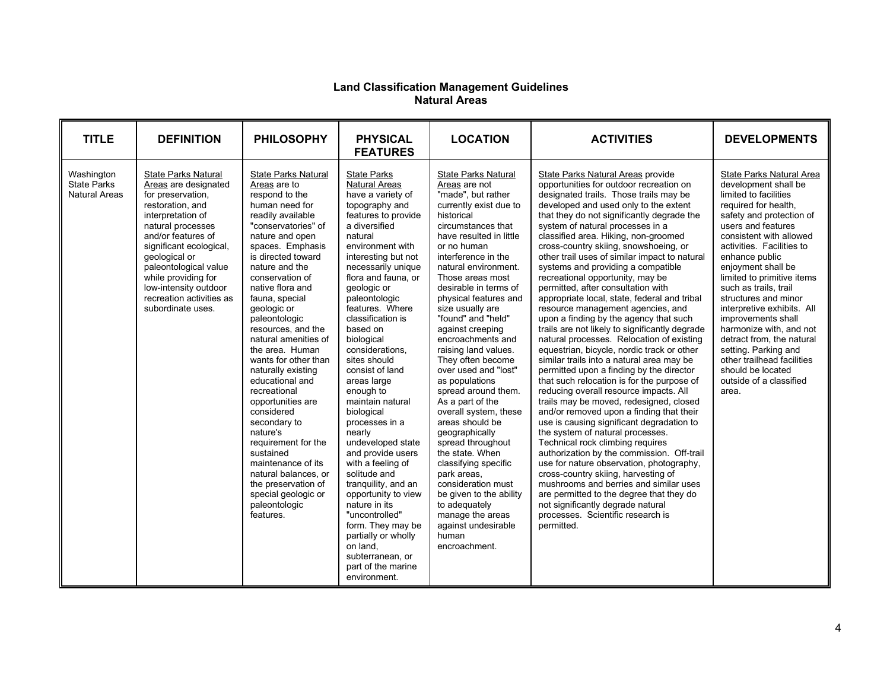#### **Land Classification Management Guidelines Natural Areas**

| <b>TITLE</b>                                             | <b>DEFINITION</b>                                                                                                                                                                                                                                                                                                                 | <b>PHILOSOPHY</b>                                                                                                                                                                                                                                                                                                                                                                                                                                                                                                                                                                                                                                                          | <b>PHYSICAL</b><br><b>FEATURES</b>                                                                                                                                                                                                                                                                                                                                                                                                                                                                                                                                                                                                                                                                                                                               | <b>LOCATION</b>                                                                                                                                                                                                                                                                                                                                                                                                                                                                                                                                                                                                                                                                                                                                                                                         | <b>ACTIVITIES</b>                                                                                                                                                                                                                                                                                                                                                                                                                                                                                                                                                                                                                                                                                                                                                                                                                                                                                                                                                                                                                                                                                                                                                                                                                                                                                                                                                                                                                                                                           | <b>DEVELOPMENTS</b>                                                                                                                                                                                                                                                                                                                                                                                                                                                                                                                                           |
|----------------------------------------------------------|-----------------------------------------------------------------------------------------------------------------------------------------------------------------------------------------------------------------------------------------------------------------------------------------------------------------------------------|----------------------------------------------------------------------------------------------------------------------------------------------------------------------------------------------------------------------------------------------------------------------------------------------------------------------------------------------------------------------------------------------------------------------------------------------------------------------------------------------------------------------------------------------------------------------------------------------------------------------------------------------------------------------------|------------------------------------------------------------------------------------------------------------------------------------------------------------------------------------------------------------------------------------------------------------------------------------------------------------------------------------------------------------------------------------------------------------------------------------------------------------------------------------------------------------------------------------------------------------------------------------------------------------------------------------------------------------------------------------------------------------------------------------------------------------------|---------------------------------------------------------------------------------------------------------------------------------------------------------------------------------------------------------------------------------------------------------------------------------------------------------------------------------------------------------------------------------------------------------------------------------------------------------------------------------------------------------------------------------------------------------------------------------------------------------------------------------------------------------------------------------------------------------------------------------------------------------------------------------------------------------|---------------------------------------------------------------------------------------------------------------------------------------------------------------------------------------------------------------------------------------------------------------------------------------------------------------------------------------------------------------------------------------------------------------------------------------------------------------------------------------------------------------------------------------------------------------------------------------------------------------------------------------------------------------------------------------------------------------------------------------------------------------------------------------------------------------------------------------------------------------------------------------------------------------------------------------------------------------------------------------------------------------------------------------------------------------------------------------------------------------------------------------------------------------------------------------------------------------------------------------------------------------------------------------------------------------------------------------------------------------------------------------------------------------------------------------------------------------------------------------------|---------------------------------------------------------------------------------------------------------------------------------------------------------------------------------------------------------------------------------------------------------------------------------------------------------------------------------------------------------------------------------------------------------------------------------------------------------------------------------------------------------------------------------------------------------------|
| Washington<br><b>State Parks</b><br><b>Natural Areas</b> | <b>State Parks Natural</b><br>Areas are designated<br>for preservation,<br>restoration, and<br>interpretation of<br>natural processes<br>and/or features of<br>significant ecological,<br>geological or<br>paleontological value<br>while providing for<br>low-intensity outdoor<br>recreation activities as<br>subordinate uses. | State Parks Natural<br>Areas are to<br>respond to the<br>human need for<br>readily available<br>"conservatories" of<br>nature and open<br>spaces. Emphasis<br>is directed toward<br>nature and the<br>conservation of<br>native flora and<br>fauna, special<br>geologic or<br>paleontologic<br>resources, and the<br>natural amenities of<br>the area. Human<br>wants for other than<br>naturally existing<br>educational and<br>recreational<br>opportunities are<br>considered<br>secondary to<br>nature's<br>requirement for the<br>sustained<br>maintenance of its<br>natural balances, or<br>the preservation of<br>special geologic or<br>paleontologic<br>features. | <b>State Parks</b><br><b>Natural Areas</b><br>have a variety of<br>topography and<br>features to provide<br>a diversified<br>natural<br>environment with<br>interesting but not<br>necessarily unique<br>flora and fauna, or<br>geologic or<br>paleontologic<br>features. Where<br>classification is<br>based on<br>biological<br>considerations,<br>sites should<br>consist of land<br>areas large<br>enough to<br>maintain natural<br>biological<br>processes in a<br>nearly<br>undeveloped state<br>and provide users<br>with a feeling of<br>solitude and<br>tranguility, and an<br>opportunity to view<br>nature in its<br>"uncontrolled"<br>form. They may be<br>partially or wholly<br>on land.<br>subterranean, or<br>part of the marine<br>environment. | <b>State Parks Natural</b><br>Areas are not<br>"made", but rather<br>currently exist due to<br>historical<br>circumstances that<br>have resulted in little<br>or no human<br>interference in the<br>natural environment.<br>Those areas most<br>desirable in terms of<br>physical features and<br>size usually are<br>"found" and "held"<br>against creeping<br>encroachments and<br>raising land values.<br>They often become<br>over used and "lost"<br>as populations<br>spread around them.<br>As a part of the<br>overall system, these<br>areas should be<br>geographically<br>spread throughout<br>the state. When<br>classifying specific<br>park areas,<br>consideration must<br>be given to the ability<br>to adequately<br>manage the areas<br>against undesirable<br>human<br>encroachment. | State Parks Natural Areas provide<br>opportunities for outdoor recreation on<br>designated trails. Those trails may be<br>developed and used only to the extent<br>that they do not significantly degrade the<br>system of natural processes in a<br>classified area. Hiking, non-groomed<br>cross-country skiing, snowshoeing, or<br>other trail uses of similar impact to natural<br>systems and providing a compatible<br>recreational opportunity, may be<br>permitted, after consultation with<br>appropriate local, state, federal and tribal<br>resource management agencies, and<br>upon a finding by the agency that such<br>trails are not likely to significantly degrade<br>natural processes. Relocation of existing<br>equestrian, bicycle, nordic track or other<br>similar trails into a natural area may be<br>permitted upon a finding by the director<br>that such relocation is for the purpose of<br>reducing overall resource impacts. All<br>trails may be moved, redesigned, closed<br>and/or removed upon a finding that their<br>use is causing significant degradation to<br>the system of natural processes.<br>Technical rock climbing requires<br>authorization by the commission. Off-trail<br>use for nature observation, photography,<br>cross-country skiing, harvesting of<br>mushrooms and berries and similar uses<br>are permitted to the degree that they do<br>not significantly degrade natural<br>processes. Scientific research is<br>permitted. | State Parks Natural Area<br>development shall be<br>limited to facilities<br>required for health.<br>safety and protection of<br>users and features<br>consistent with allowed<br>activities. Facilities to<br>enhance public<br>enjoyment shall be<br>limited to primitive items<br>such as trails, trail<br>structures and minor<br>interpretive exhibits. All<br>improvements shall<br>harmonize with, and not<br>detract from, the natural<br>setting. Parking and<br>other trailhead facilities<br>should be located<br>outside of a classified<br>area. |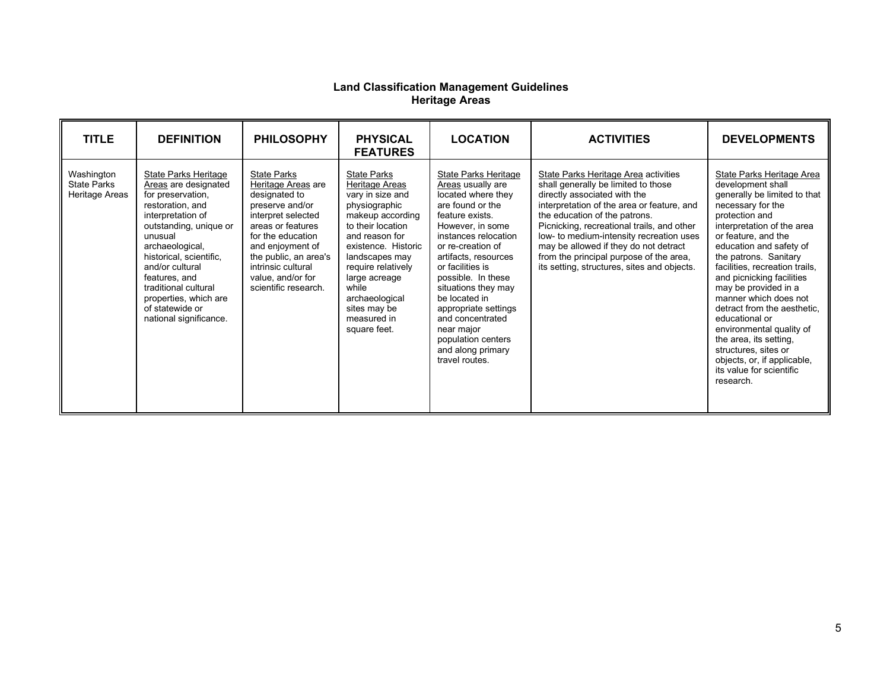#### **Land Classification Management Guidelines Heritage Areas**

| <b>TITLE</b>                                       | <b>DEFINITION</b>                                                                                                                                                                                                                                                                                                                      | <b>PHILOSOPHY</b>                                                                                                                                                                                                                                            | <b>PHYSICAL</b><br><b>FEATURES</b>                                                                                                                                                                                                                                                             | <b>LOCATION</b>                                                                                                                                                                                                                                                                                                                                                                                          | <b>ACTIVITIES</b>                                                                                                                                                                                                                                                                                                                                                                                                       | <b>DEVELOPMENTS</b>                                                                                                                                                                                                                                                                                                                                                                                                                                                                                                                                   |
|----------------------------------------------------|----------------------------------------------------------------------------------------------------------------------------------------------------------------------------------------------------------------------------------------------------------------------------------------------------------------------------------------|--------------------------------------------------------------------------------------------------------------------------------------------------------------------------------------------------------------------------------------------------------------|------------------------------------------------------------------------------------------------------------------------------------------------------------------------------------------------------------------------------------------------------------------------------------------------|----------------------------------------------------------------------------------------------------------------------------------------------------------------------------------------------------------------------------------------------------------------------------------------------------------------------------------------------------------------------------------------------------------|-------------------------------------------------------------------------------------------------------------------------------------------------------------------------------------------------------------------------------------------------------------------------------------------------------------------------------------------------------------------------------------------------------------------------|-------------------------------------------------------------------------------------------------------------------------------------------------------------------------------------------------------------------------------------------------------------------------------------------------------------------------------------------------------------------------------------------------------------------------------------------------------------------------------------------------------------------------------------------------------|
| Washington<br><b>State Parks</b><br>Heritage Areas | <b>State Parks Heritage</b><br>Areas are designated<br>for preservation,<br>restoration, and<br>interpretation of<br>outstanding, unique or<br>unusual<br>archaeological,<br>historical, scientific,<br>and/or cultural<br>features, and<br>traditional cultural<br>properties, which are<br>of statewide or<br>national significance. | <b>State Parks</b><br>Heritage Areas are<br>designated to<br>preserve and/or<br>interpret selected<br>areas or features<br>for the education<br>and enjoyment of<br>the public, an area's<br>intrinsic cultural<br>value, and/or for<br>scientific research. | <b>State Parks</b><br>Heritage Areas<br>vary in size and<br>physiographic<br>makeup according<br>to their location<br>and reason for<br>existence. Historic<br>landscapes may<br>require relatively<br>large acreage<br>while<br>archaeological<br>sites may be<br>measured in<br>square feet. | State Parks Heritage<br>Areas usually are<br>located where they<br>are found or the<br>feature exists.<br>However, in some<br>instances relocation<br>or re-creation of<br>artifacts, resources<br>or facilities is<br>possible. In these<br>situations they may<br>be located in<br>appropriate settings<br>and concentrated<br>near major<br>population centers<br>and along primary<br>travel routes. | State Parks Heritage Area activities<br>shall generally be limited to those<br>directly associated with the<br>interpretation of the area or feature, and<br>the education of the patrons.<br>Picnicking, recreational trails, and other<br>low- to medium-intensity recreation uses<br>may be allowed if they do not detract<br>from the principal purpose of the area,<br>its setting, structures, sites and objects. | State Parks Heritage Area<br>development shall<br>generally be limited to that<br>necessary for the<br>protection and<br>interpretation of the area<br>or feature, and the<br>education and safety of<br>the patrons. Sanitary<br>facilities, recreation trails,<br>and picnicking facilities<br>may be provided in a<br>manner which does not<br>detract from the aesthetic,<br>educational or<br>environmental quality of<br>the area, its setting,<br>structures, sites or<br>objects, or, if applicable,<br>its value for scientific<br>research. |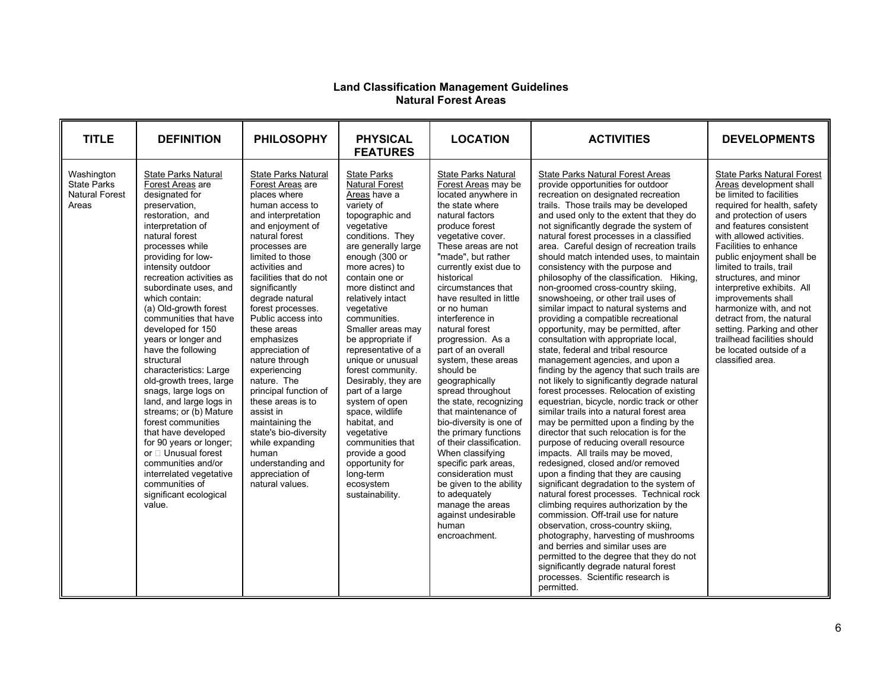#### **Land Classification Management Guidelines Natural Forest Areas**

| <b>TITLE</b>                                                       | <b>DEFINITION</b>                                                                                                                                                                                                                                                                                                                                                                                                                                                                                                                                                                                                                                                                                                                                           | <b>PHILOSOPHY</b>                                                                                                                                                                                                                                                                                                                                                                                                                                                                                                                                                                                     | <b>PHYSICAL</b><br><b>FEATURES</b>                                                                                                                                                                                                                                                                                                                                                                                                                                                                                                                                                                                | <b>LOCATION</b>                                                                                                                                                                                                                                                                                                                                                                                                                                                                                                                                                                                                                                                                                                                                                                           | <b>ACTIVITIES</b>                                                                                                                                                                                                                                                                                                                                                                                                                                                                                                                                                                                                                                                                                                                                                                                                                                                                                                                                                                                                                                                                                                                                                                                                                                                                                                                                                                                                                                                                                                                                                                                                                                                                                                    | <b>DEVELOPMENTS</b>                                                                                                                                                                                                                                                                                                                                                                                                                                                                                                                          |
|--------------------------------------------------------------------|-------------------------------------------------------------------------------------------------------------------------------------------------------------------------------------------------------------------------------------------------------------------------------------------------------------------------------------------------------------------------------------------------------------------------------------------------------------------------------------------------------------------------------------------------------------------------------------------------------------------------------------------------------------------------------------------------------------------------------------------------------------|-------------------------------------------------------------------------------------------------------------------------------------------------------------------------------------------------------------------------------------------------------------------------------------------------------------------------------------------------------------------------------------------------------------------------------------------------------------------------------------------------------------------------------------------------------------------------------------------------------|-------------------------------------------------------------------------------------------------------------------------------------------------------------------------------------------------------------------------------------------------------------------------------------------------------------------------------------------------------------------------------------------------------------------------------------------------------------------------------------------------------------------------------------------------------------------------------------------------------------------|-------------------------------------------------------------------------------------------------------------------------------------------------------------------------------------------------------------------------------------------------------------------------------------------------------------------------------------------------------------------------------------------------------------------------------------------------------------------------------------------------------------------------------------------------------------------------------------------------------------------------------------------------------------------------------------------------------------------------------------------------------------------------------------------|----------------------------------------------------------------------------------------------------------------------------------------------------------------------------------------------------------------------------------------------------------------------------------------------------------------------------------------------------------------------------------------------------------------------------------------------------------------------------------------------------------------------------------------------------------------------------------------------------------------------------------------------------------------------------------------------------------------------------------------------------------------------------------------------------------------------------------------------------------------------------------------------------------------------------------------------------------------------------------------------------------------------------------------------------------------------------------------------------------------------------------------------------------------------------------------------------------------------------------------------------------------------------------------------------------------------------------------------------------------------------------------------------------------------------------------------------------------------------------------------------------------------------------------------------------------------------------------------------------------------------------------------------------------------------------------------------------------------|----------------------------------------------------------------------------------------------------------------------------------------------------------------------------------------------------------------------------------------------------------------------------------------------------------------------------------------------------------------------------------------------------------------------------------------------------------------------------------------------------------------------------------------------|
| Washington<br><b>State Parks</b><br><b>Natural Forest</b><br>Areas | <b>State Parks Natural</b><br>Forest Areas are<br>designated for<br>preservation,<br>restoration, and<br>interpretation of<br>natural forest<br>processes while<br>providing for low-<br>intensity outdoor<br>recreation activities as<br>subordinate uses, and<br>which contain:<br>(a) Old-growth forest<br>communities that have<br>developed for 150<br>years or longer and<br>have the following<br>structural<br>characteristics: Large<br>old-growth trees, large<br>snags, large logs on<br>land, and large logs in<br>streams; or (b) Mature<br>forest communities<br>that have developed<br>for 90 years or longer;<br>or □ Unusual forest<br>communities and/or<br>interrelated vegetative<br>communities of<br>significant ecological<br>value. | State Parks Natural<br>Forest Areas are<br>places where<br>human access to<br>and interpretation<br>and enjoyment of<br>natural forest<br>processes are<br>limited to those<br>activities and<br>facilities that do not<br>significantly<br>degrade natural<br>forest processes.<br>Public access into<br>these areas<br>emphasizes<br>appreciation of<br>nature through<br>experiencing<br>nature. The<br>principal function of<br>these areas is to<br>assist in<br>maintaining the<br>state's bio-diversity<br>while expanding<br>human<br>understanding and<br>appreciation of<br>natural values. | <b>State Parks</b><br><b>Natural Forest</b><br>Areas have a<br>variety of<br>topographic and<br>vegetative<br>conditions. They<br>are generally large<br>enough (300 or<br>more acres) to<br>contain one or<br>more distinct and<br>relatively intact<br>vegetative<br>communities.<br>Smaller areas may<br>be appropriate if<br>representative of a<br>unique or unusual<br>forest community.<br>Desirably, they are<br>part of a large<br>system of open<br>space, wildlife<br>habitat, and<br>vegetative<br>communities that<br>provide a good<br>opportunity for<br>long-term<br>ecosystem<br>sustainability. | <b>State Parks Natural</b><br>Forest Areas may be<br>located anywhere in<br>the state where<br>natural factors<br>produce forest<br>vegetative cover.<br>These areas are not<br>"made", but rather<br>currently exist due to<br>historical<br>circumstances that<br>have resulted in little<br>or no human<br>interference in<br>natural forest<br>progression. As a<br>part of an overall<br>system, these areas<br>should be<br>qeographically<br>spread throughout<br>the state, recognizing<br>that maintenance of<br>bio-diversity is one of<br>the primary functions<br>of their classification.<br>When classifying<br>specific park areas,<br>consideration must<br>be given to the ability<br>to adequately<br>manage the areas<br>against undesirable<br>human<br>encroachment. | <b>State Parks Natural Forest Areas</b><br>provide opportunities for outdoor<br>recreation on designated recreation<br>trails. Those trails may be developed<br>and used only to the extent that they do<br>not significantly degrade the system of<br>natural forest processes in a classified<br>area. Careful design of recreation trails<br>should match intended uses, to maintain<br>consistency with the purpose and<br>philosophy of the classification. Hiking,<br>non-groomed cross-country skiing,<br>snowshoeing, or other trail uses of<br>similar impact to natural systems and<br>providing a compatible recreational<br>opportunity, may be permitted, after<br>consultation with appropriate local,<br>state, federal and tribal resource<br>management agencies, and upon a<br>finding by the agency that such trails are<br>not likely to significantly degrade natural<br>forest processes. Relocation of existing<br>equestrian, bicycle, nordic track or other<br>similar trails into a natural forest area<br>may be permitted upon a finding by the<br>director that such relocation is for the<br>purpose of reducing overall resource<br>impacts. All trails may be moved,<br>redesigned, closed and/or removed<br>upon a finding that they are causing<br>significant degradation to the system of<br>natural forest processes. Technical rock<br>climbing requires authorization by the<br>commission. Off-trail use for nature<br>observation, cross-country skiing,<br>photography, harvesting of mushrooms<br>and berries and similar uses are<br>permitted to the degree that they do not<br>significantly degrade natural forest<br>processes. Scientific research is<br>permitted. | <b>State Parks Natural Forest</b><br>Areas development shall<br>be limited to facilities<br>required for health, safety<br>and protection of users<br>and features consistent<br>with allowed activities.<br>Facilities to enhance<br>public enjoyment shall be<br>limited to trails, trail<br>structures, and minor<br>interpretive exhibits. All<br>improvements shall<br>harmonize with, and not<br>detract from, the natural<br>setting. Parking and other<br>trailhead facilities should<br>be located outside of a<br>classified area. |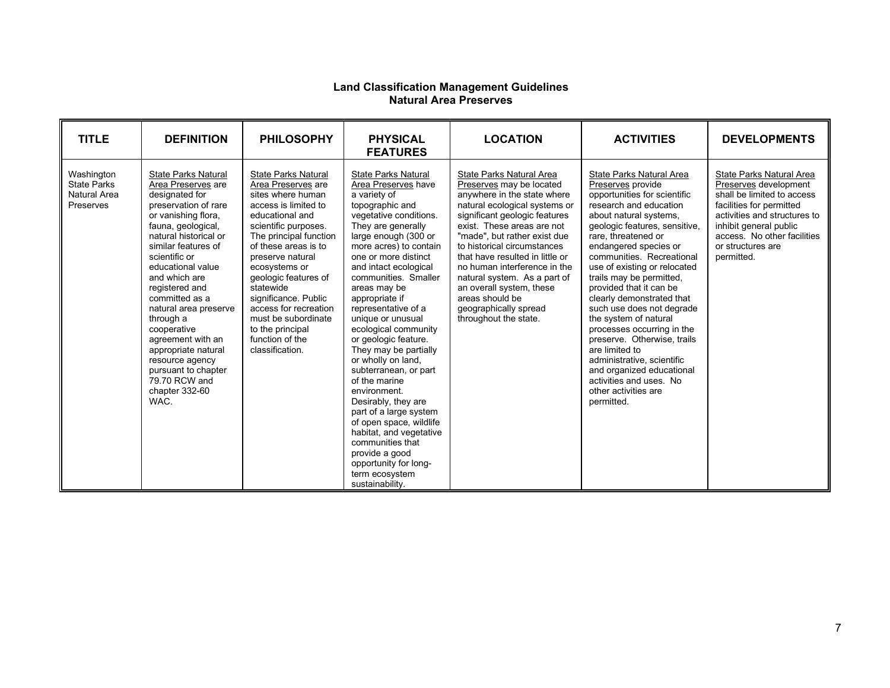#### **Land Classification Management Guidelines Natural Area Preserves**

| <b>TITLE</b>                                                  | <b>DEFINITION</b>                                                                                                                                                                                                                                                                                                                                                                                                                                                 | <b>PHILOSOPHY</b>                                                                                                                                                                                                                                                                                                                                                                               | <b>PHYSICAL</b><br><b>FEATURES</b>                                                                                                                                                                                                                                                                                                                                                                                                                                                                                                                                                                                                                                                                                | <b>LOCATION</b>                                                                                                                                                                                                                                                                                                                                                                                                                                        | <b>ACTIVITIES</b>                                                                                                                                                                                                                                                                                                                                                                                                                                                                                                                                                                                                                    | <b>DEVELOPMENTS</b>                                                                                                                                                                                                                     |
|---------------------------------------------------------------|-------------------------------------------------------------------------------------------------------------------------------------------------------------------------------------------------------------------------------------------------------------------------------------------------------------------------------------------------------------------------------------------------------------------------------------------------------------------|-------------------------------------------------------------------------------------------------------------------------------------------------------------------------------------------------------------------------------------------------------------------------------------------------------------------------------------------------------------------------------------------------|-------------------------------------------------------------------------------------------------------------------------------------------------------------------------------------------------------------------------------------------------------------------------------------------------------------------------------------------------------------------------------------------------------------------------------------------------------------------------------------------------------------------------------------------------------------------------------------------------------------------------------------------------------------------------------------------------------------------|--------------------------------------------------------------------------------------------------------------------------------------------------------------------------------------------------------------------------------------------------------------------------------------------------------------------------------------------------------------------------------------------------------------------------------------------------------|--------------------------------------------------------------------------------------------------------------------------------------------------------------------------------------------------------------------------------------------------------------------------------------------------------------------------------------------------------------------------------------------------------------------------------------------------------------------------------------------------------------------------------------------------------------------------------------------------------------------------------------|-----------------------------------------------------------------------------------------------------------------------------------------------------------------------------------------------------------------------------------------|
| Washington<br><b>State Parks</b><br>Natural Area<br>Preserves | State Parks Natural<br>Area Preserves are<br>designated for<br>preservation of rare<br>or vanishing flora,<br>fauna, geological,<br>natural historical or<br>similar features of<br>scientific or<br>educational value<br>and which are<br>registered and<br>committed as a<br>natural area preserve<br>through a<br>cooperative<br>agreement with an<br>appropriate natural<br>resource agency<br>pursuant to chapter<br>79.70 RCW and<br>chapter 332-60<br>WAC. | State Parks Natural<br>Area Preserves are<br>sites where human<br>access is limited to<br>educational and<br>scientific purposes.<br>The principal function<br>of these areas is to<br>preserve natural<br>ecosystems or<br>geologic features of<br>statewide<br>significance. Public<br>access for recreation<br>must be subordinate<br>to the principal<br>function of the<br>classification. | <b>State Parks Natural</b><br>Area Preserves have<br>a variety of<br>topographic and<br>vegetative conditions.<br>They are generally<br>large enough (300 or<br>more acres) to contain<br>one or more distinct<br>and intact ecological<br>communities. Smaller<br>areas may be<br>appropriate if<br>representative of a<br>unique or unusual<br>ecological community<br>or geologic feature.<br>They may be partially<br>or wholly on land,<br>subterranean, or part<br>of the marine<br>environment.<br>Desirably, they are<br>part of a large system<br>of open space, wildlife<br>habitat, and vegetative<br>communities that<br>provide a good<br>opportunity for long-<br>term ecosystem<br>sustainability. | State Parks Natural Area<br>Preserves may be located<br>anywhere in the state where<br>natural ecological systems or<br>significant geologic features<br>exist. These areas are not<br>"made", but rather exist due<br>to historical circumstances<br>that have resulted in little or<br>no human interference in the<br>natural system. As a part of<br>an overall system, these<br>areas should be<br>geographically spread<br>throughout the state. | State Parks Natural Area<br>Preserves provide<br>opportunities for scientific<br>research and education<br>about natural systems,<br>geologic features, sensitive,<br>rare, threatened or<br>endangered species or<br>communities. Recreational<br>use of existing or relocated<br>trails may be permitted,<br>provided that it can be<br>clearly demonstrated that<br>such use does not degrade<br>the system of natural<br>processes occurring in the<br>preserve. Otherwise, trails<br>are limited to<br>administrative, scientific<br>and organized educational<br>activities and uses. No<br>other activities are<br>permitted. | State Parks Natural Area<br>Preserves development<br>shall be limited to access<br>facilities for permitted<br>activities and structures to<br>inhibit general public<br>access. No other facilities<br>or structures are<br>permitted. |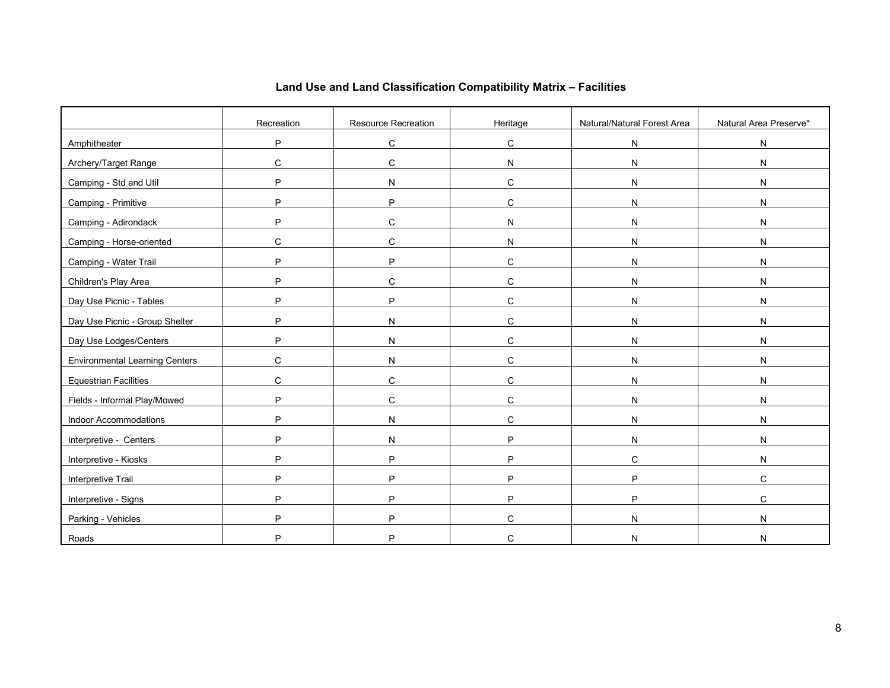|                                       | Recreation | Resource Recreation | Heritage     | Natural/Natural Forest Area | Natural Area Preserve* |
|---------------------------------------|------------|---------------------|--------------|-----------------------------|------------------------|
| Amphitheater                          | P          | ${\bf C}$           | C            | N                           | ${\sf N}$              |
| Archery/Target Range                  | C          | C                   | N            | N                           | ${\sf N}$              |
| Camping - Std and Util                | P          | N                   | C            | N                           | ${\sf N}$              |
| Camping - Primitive                   | P          | P                   | C            | N                           | $\mathsf{N}$           |
| Camping - Adirondack                  | P          | $\mathbf C$         | N            | N                           | N                      |
| Camping - Horse-oriented              | C          | ${\bf C}$           | N            | N                           | ${\sf N}$              |
| Camping - Water Trail                 | P          | P                   | C            | N                           | N                      |
| Children's Play Area                  | P          | $\mathbf C$         | C            | N                           | ${\sf N}$              |
| Day Use Picnic - Tables               | P          | P                   | $\mathbf C$  | N                           | ${\sf N}$              |
| Day Use Picnic - Group Shelter        | P          | N                   | $\mathbf C$  | N                           | N                      |
| Day Use Lodges/Centers                | P          | N                   | C            | N                           | N                      |
| <b>Environmental Learning Centers</b> | C          | N                   | $\mathbf C$  | N                           | ${\sf N}$              |
| <b>Equestrian Facilities</b>          | C          | $\mathbf C$         | $\mathbf C$  | N                           | ${\sf N}$              |
| Fields - Informal Play/Mowed          | P          | С                   | C            | N                           | N                      |
| Indoor Accommodations                 | P          | N                   | $\mathsf{C}$ | N                           | ${\sf N}$              |
| Interpretive - Centers                | P          | N                   | P            | N                           | ${\sf N}$              |
| Interpretive - Kiosks                 | P          | P                   | P            | $\mathbf C$                 | N                      |
| Interpretive Trail                    | P          | P                   | P            | P                           | C                      |
| Interpretive - Signs                  | P          | P                   | P            | P                           | $\mathsf C$            |
| Parking - Vehicles                    | P          | P                   | C            | N                           | ${\sf N}$              |
| Roads                                 | P          | P                   | C            | N                           | N                      |

# **Land Use and Land Classification Compatibility Matrix – Facilities**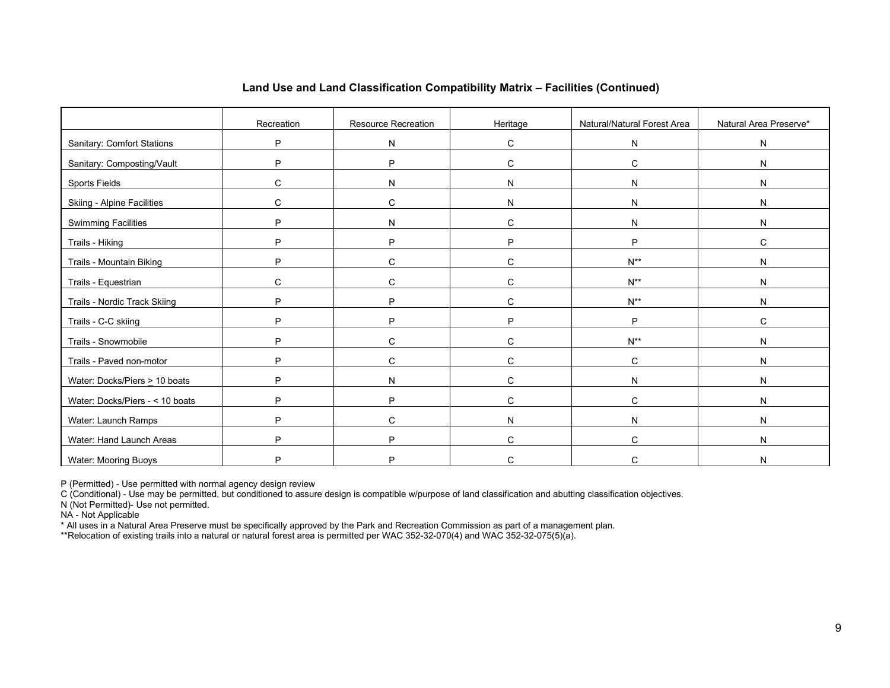|                                    | Recreation   | Resource Recreation | Heritage     | Natural/Natural Forest Area | Natural Area Preserve* |
|------------------------------------|--------------|---------------------|--------------|-----------------------------|------------------------|
| <b>Sanitary: Comfort Stations</b>  | P            | $\mathsf{N}$        | $\mathsf{C}$ | $\mathsf{N}$                | ${\sf N}$              |
| Sanitary: Composting/Vault         | P            | P                   | $\mathsf C$  | C                           | ${\sf N}$              |
| Sports Fields                      | С            | N                   | $\mathsf{N}$ | $\mathsf{N}$                | ${\sf N}$              |
| Skiing - Alpine Facilities         | C            | C                   | N            | N                           | ${\sf N}$              |
| <b>Swimming Facilities</b>         | P            | N                   | $\mathsf{C}$ | N                           | N                      |
| Trails - Hiking                    | P            | P                   | P            | P                           | C                      |
| Trails - Mountain Biking           | P            | $\mathsf{C}$        | C            | $N^{**}$                    | N                      |
| Trails - Equestrian                | $\mathsf{C}$ | $\mathbf C$         | $\mathsf{C}$ | $N^{**}$                    | ${\sf N}$              |
| Trails - Nordic Track Skiing       | P            | P                   | C            | $N^{**}$                    | ${\sf N}$              |
| Trails - C-C skiing                | P            | P                   | P            | P                           | $\mathsf C$            |
| Trails - Snowmobile                | P            | $\mathbf C$         | $\mathsf{C}$ | $N^{**}$                    | N                      |
| Trails - Paved non-motor           | P            | C                   | $\mathsf{C}$ | C                           | N                      |
| Water: Docks/Piers $\geq$ 10 boats | P            | N                   | $\mathsf C$  | N                           | N                      |
| Water: Docks/Piers - < 10 boats    | P            | P                   | C            | C                           | N                      |
| Water: Launch Ramps                | P            | C                   | N            | N                           | N                      |
| Water: Hand Launch Areas           | P            | P                   | C            | C                           | N                      |
| Water: Mooring Buoys               | P            | P                   | C.           | C                           | N                      |

### **Land Use and Land Classification Compatibility Matrix – Facilities (Continued)**

P (Permitted) - Use permitted with normal agency design review

C (Conditional) - Use may be permitted, but conditioned to assure design is compatible w/purpose of land classification and abutting classification objectives.

N (Not Permitted)- Use not permitted.

NA - Not Applicable

\* All uses in a Natural Area Preserve must be specifically approved by the Park and Recreation Commission as part of a management plan.

\*\*Relocation of existing trails into a natural or natural forest area is permitted per WAC 352-32-070(4) and WAC 352-32-075(5)(a).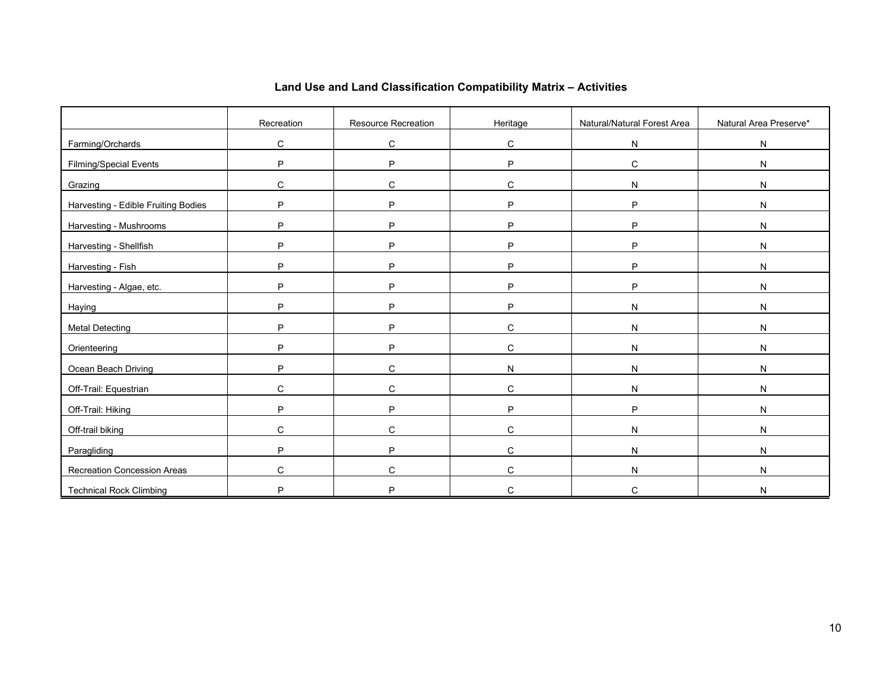|                                     | Recreation | Resource Recreation | Heritage     | Natural/Natural Forest Area | Natural Area Preserve* |
|-------------------------------------|------------|---------------------|--------------|-----------------------------|------------------------|
| Farming/Orchards                    | C          | C                   | $\mathbf C$  | N                           | ${\sf N}$              |
| <b>Filming/Special Events</b>       | P          | P                   | P            | $\mathbf C$                 | ${\sf N}$              |
| Grazing                             | C          | $\mathbf C$         | C            | N                           | $\mathsf{N}$           |
| Harvesting - Edible Fruiting Bodies | P          | P                   | P            | P                           | ${\sf N}$              |
| Harvesting - Mushrooms              | P          | P                   | P            | P                           | ${\sf N}$              |
| Harvesting - Shellfish              | P          | P                   | P            | P                           | N                      |
| Harvesting - Fish                   | P          | P                   | P            | P                           | N                      |
| Harvesting - Algae, etc.            | P          | P                   | P            | P                           | ${\sf N}$              |
| Haying                              | P          | P                   | P            | N                           | ${\sf N}$              |
| <b>Metal Detecting</b>              | P          | P                   | C            | N                           | ${\sf N}$              |
| Orienteering                        | P          | P                   | C            | N                           | $\mathsf{N}$           |
| Ocean Beach Driving                 | P          | $\mathbf C$         | $\mathsf{N}$ | N                           | ${\sf N}$              |
| Off-Trail: Equestrian               | C          | C                   | C            | N                           | ${\sf N}$              |
| Off-Trail: Hiking                   | P          | P                   | P            | P                           | ${\sf N}$              |
| Off-trail biking                    | C          | C                   | $\mathsf C$  | N                           | ${\sf N}$              |
| Paragliding                         | P          | P                   | C            | N                           | $\mathsf{N}$           |
| Recreation Concession Areas         | C          | C                   | C            | N                           | N                      |
| <b>Technical Rock Climbing</b>      | P          | D                   | C            | $\mathsf{C}$                | N                      |

# **Land Use and Land Classification Compatibility Matrix – Activities**